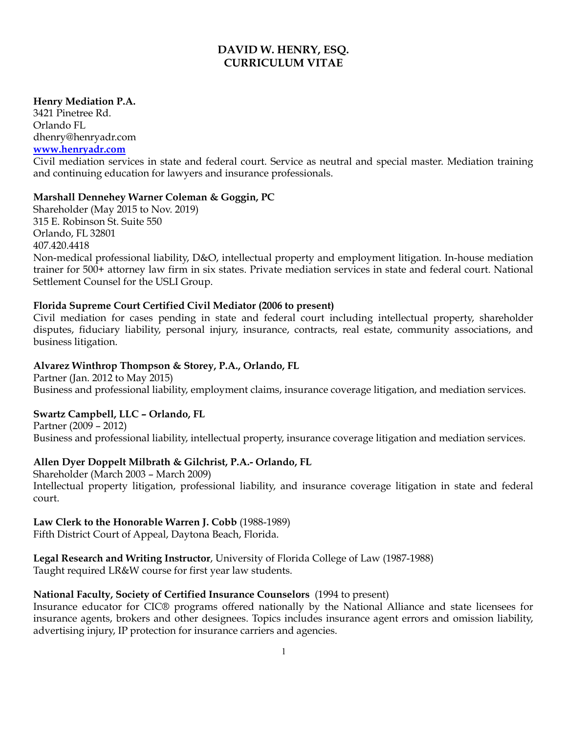# **DAVID W. HENRY, ESQ. CURRICULUM VITAE**

### **Henry Mediation P.A.**

3421 Pinetree Rd. Orlando FL dhenry@henryadr.com **[www.henryadr.com](http://www.henryadr.com)** 

Civil mediation services in state and federal court. Service as neutral and special master. Mediation training and continuing education for lawyers and insurance professionals.

### **Marshall Dennehey Warner Coleman & Goggin, PC**

Shareholder (May 2015 to Nov. 2019) 315 E. Robinson St. Suite 550 Orlando, FL 32801 407.420.4418

Non-medical professional liability, D&O, intellectual property and employment litigation. In-house mediation trainer for 500+ attorney law firm in six states. Private mediation services in state and federal court. National Settlement Counsel for the USLI Group.

## **Florida Supreme Court Certified Civil Mediator (2006 to present)**

Civil mediation for cases pending in state and federal court including intellectual property, shareholder disputes, fiduciary liability, personal injury, insurance, contracts, real estate, community associations, and business litigation.

## **Alvarez Winthrop Thompson & Storey, P.A., Orlando, FL**

Partner (Jan. 2012 to May 2015) Business and professional liability, employment claims, insurance coverage litigation, and mediation services.

## **Swartz Campbell, LLC – Orlando, FL**

Partner (2009 – 2012) Business and professional liability, intellectual property, insurance coverage litigation and mediation services.

## **Allen Dyer Doppelt Milbrath & Gilchrist, P.A.- Orlando, FL**

Shareholder (March 2003 – March 2009) Intellectual property litigation, professional liability, and insurance coverage litigation in state and federal court.

## **Law Clerk to the Honorable Warren J. Cobb** (1988-1989)

Fifth District Court of Appeal, Daytona Beach, Florida.

## **Legal Research and Writing Instructor**, University of Florida College of Law (1987-1988)

Taught required LR&W course for first year law students.

## **National Faculty, Society of Certified Insurance Counselors** (1994 to present)

Insurance educator for CIC® programs offered nationally by the National Alliance and state licensees for insurance agents, brokers and other designees. Topics includes insurance agent errors and omission liability, advertising injury, IP protection for insurance carriers and agencies.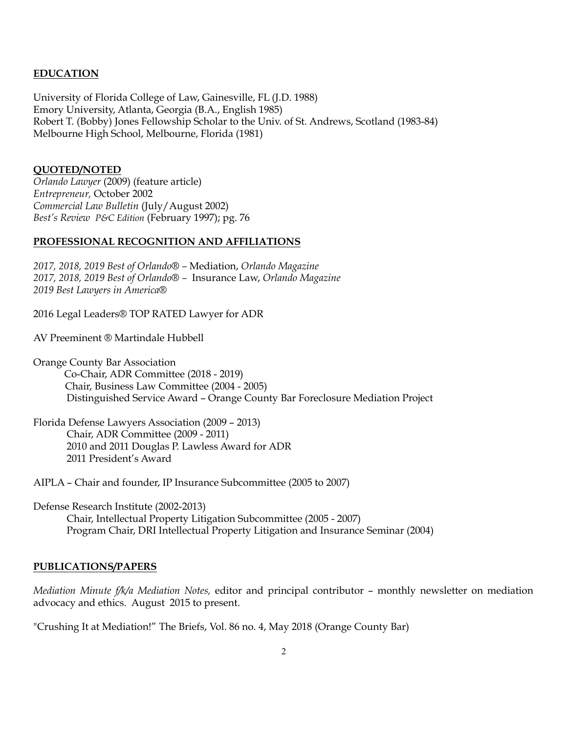### **EDUCATION**

University of Florida College of Law, Gainesville, FL (J.D. 1988) Emory University, Atlanta, Georgia (B.A., English 1985) Robert T. (Bobby) Jones Fellowship Scholar to the Univ. of St. Andrews, Scotland (1983-84) Melbourne High School, Melbourne, Florida (1981)

#### **QUOTED/NOTED**

*Orlando Lawyer* (2009) (feature article) *Entrepreneur,* October 2002 *Commercial Law Bulletin* (July/August 2002) *Best's Review P&C Edition* (February 1997); pg. 76

#### **PROFESSIONAL RECOGNITION AND AFFILIATIONS**

*2017, 2018, 2019 Best of Orlando® –* Mediation, *Orlando Magazine 2017, 2018, 2019 Best of Orlando® –* Insurance Law, *Orlando Magazine 2019 Best Lawyers in America®* 

2016 Legal Leaders® TOP RATED Lawyer for ADR

AV Preeminent ® Martindale Hubbell

Orange County Bar Association Co-Chair, ADR Committee (2018 - 2019) Chair, Business Law Committee (2004 - 2005) Distinguished Service Award – Orange County Bar Foreclosure Mediation Project

Florida Defense Lawyers Association (2009 – 2013) Chair, ADR Committee (2009 - 2011) 2010 and 2011 Douglas P. Lawless Award for ADR 2011 President's Award

AIPLA – Chair and founder, IP Insurance Subcommittee (2005 to 2007)

Defense Research Institute (2002-2013)

 Chair, Intellectual Property Litigation Subcommittee (2005 - 2007) Program Chair, DRI Intellectual Property Litigation and Insurance Seminar (2004)

#### **PUBLICATIONS/PAPERS**

*Mediation Minute f/k/a Mediation Notes,* editor and principal contributor – monthly newsletter on mediation advocacy and ethics. August 2015 to present.

"Crushing It at Mediation!" The Briefs, Vol. 86 no. 4, May 2018 (Orange County Bar)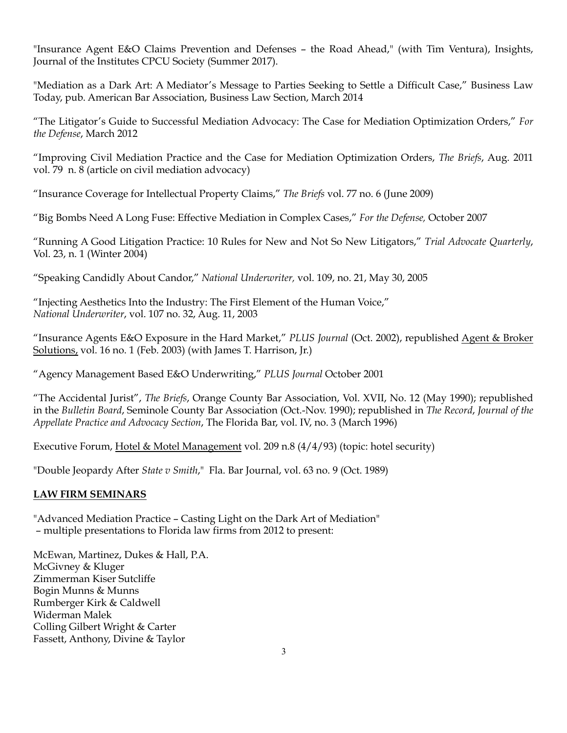"Insurance Agent E&O Claims Prevention and Defenses – the Road Ahead," (with Tim Ventura), Insights, Journal of the Institutes CPCU Society (Summer 2017).

"Mediation as a Dark Art: A Mediator's Message to Parties Seeking to Settle a Difficult Case," Business Law Today, pub. American Bar Association, Business Law Section, March 2014

"The Litigator's Guide to Successful Mediation Advocacy: The Case for Mediation Optimization Orders," *For the Defense*, March 2012

"Improving Civil Mediation Practice and the Case for Mediation Optimization Orders, *The Briefs*, Aug. 2011 vol. 79 n. 8 (article on civil mediation advocacy)

"Insurance Coverage for Intellectual Property Claims," *The Briefs* vol. 77 no. 6 (June 2009)

"Big Bombs Need A Long Fuse: Effective Mediation in Complex Cases," *For the Defense,* October 2007

"Running A Good Litigation Practice: 10 Rules for New and Not So New Litigators," *Trial Advocate Quarterly*, Vol. 23, n. 1 (Winter 2004)

"Speaking Candidly About Candor," *National Underwriter,* vol. 109, no. 21, May 30, 2005

"Injecting Aesthetics Into the Industry: The First Element of the Human Voice," *National Underwriter*, vol. 107 no. 32, Aug. 11, 2003

"Insurance Agents E&O Exposure in the Hard Market," *PLUS Journal* (Oct. 2002), republished Agent & Broker Solutions, vol. 16 no. 1 (Feb. 2003) (with James T. Harrison, Jr.)

"Agency Management Based E&O Underwriting," *PLUS Journal* October 2001

"The Accidental Jurist", *The Briefs*, Orange County Bar Association, Vol. XVII, No. 12 (May 1990); republished in the *Bulletin Board*, Seminole County Bar Association (Oct.-Nov. 1990); republished in *The Record*, *Journal of the Appellate Practice and Advocacy Section*, The Florida Bar, vol. IV, no. 3 (March 1996)

Executive Forum, Hotel & Motel Management vol. 209 n.8 (4/4/93) (topic: hotel security)

"Double Jeopardy After *State v Smith*," Fla. Bar Journal, vol. 63 no. 9 (Oct. 1989)

## **LAW FIRM SEMINARS**

"Advanced Mediation Practice – Casting Light on the Dark Art of Mediation" – multiple presentations to Florida law firms from 2012 to present:

McEwan, Martinez, Dukes & Hall, P.A. McGivney & Kluger Zimmerman Kiser Sutcliffe Bogin Munns & Munns Rumberger Kirk & Caldwell Widerman Malek Colling Gilbert Wright & Carter Fassett, Anthony, Divine & Taylor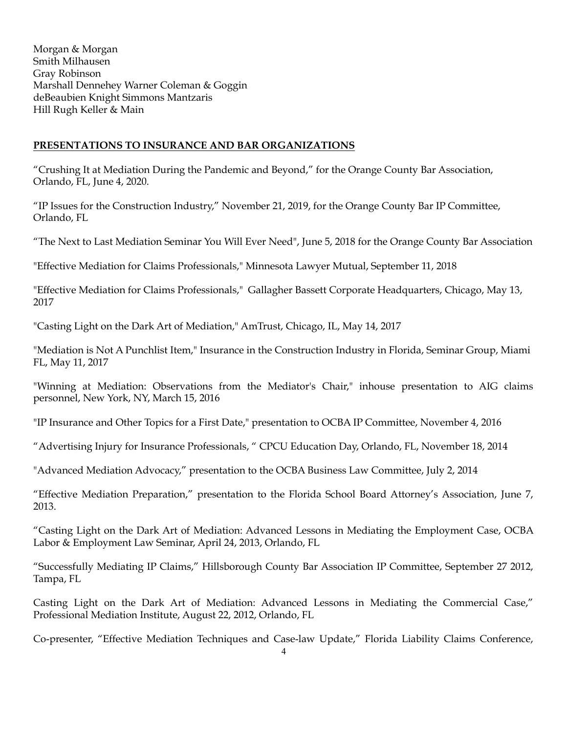Morgan & Morgan Smith Milhausen Gray Robinson Marshall Dennehey Warner Coleman & Goggin deBeaubien Knight Simmons Mantzaris Hill Rugh Keller & Main

### **PRESENTATIONS TO INSURANCE AND BAR ORGANIZATIONS**

"Crushing It at Mediation During the Pandemic and Beyond," for the Orange County Bar Association, Orlando, FL, June 4, 2020.

"IP Issues for the Construction Industry," November 21, 2019, for the Orange County Bar IP Committee, Orlando, FL

"The Next to Last Mediation Seminar You Will Ever Need", June 5, 2018 for the Orange County Bar Association

"Effective Mediation for Claims Professionals," Minnesota Lawyer Mutual, September 11, 2018

"Effective Mediation for Claims Professionals," Gallagher Bassett Corporate Headquarters, Chicago, May 13, 2017

"Casting Light on the Dark Art of Mediation," AmTrust, Chicago, IL, May 14, 2017

"Mediation is Not A Punchlist Item," Insurance in the Construction Industry in Florida, Seminar Group, Miami FL, May 11, 2017

"Winning at Mediation: Observations from the Mediator's Chair," inhouse presentation to AIG claims personnel, New York, NY, March 15, 2016

"IP Insurance and Other Topics for a First Date," presentation to OCBA IP Committee, November 4, 2016

"Advertising Injury for Insurance Professionals, " CPCU Education Day, Orlando, FL, November 18, 2014

"Advanced Mediation Advocacy," presentation to the OCBA Business Law Committee, July 2, 2014

"Effective Mediation Preparation," presentation to the Florida School Board Attorney's Association, June 7, 2013.

"Casting Light on the Dark Art of Mediation: Advanced Lessons in Mediating the Employment Case, OCBA Labor & Employment Law Seminar, April 24, 2013, Orlando, FL

"Successfully Mediating IP Claims," Hillsborough County Bar Association IP Committee, September 27 2012, Tampa, FL

Casting Light on the Dark Art of Mediation: Advanced Lessons in Mediating the Commercial Case," Professional Mediation Institute, August 22, 2012, Orlando, FL

Co-presenter, "Effective Mediation Techniques and Case-law Update," Florida Liability Claims Conference,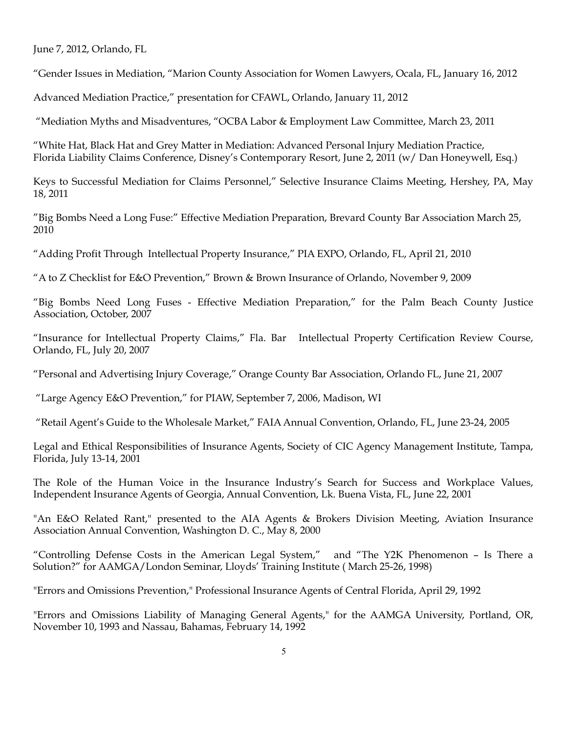June 7, 2012, Orlando, FL

"Gender Issues in Mediation, "Marion County Association for Women Lawyers, Ocala, FL, January 16, 2012

Advanced Mediation Practice," presentation for CFAWL, Orlando, January 11, 2012

"Mediation Myths and Misadventures, "OCBA Labor & Employment Law Committee, March 23, 2011

"White Hat, Black Hat and Grey Matter in Mediation: Advanced Personal Injury Mediation Practice, Florida Liability Claims Conference, Disney's Contemporary Resort, June 2, 2011 (w/ Dan Honeywell, Esq.)

Keys to Successful Mediation for Claims Personnel," Selective Insurance Claims Meeting, Hershey, PA, May 18, 2011

"Big Bombs Need a Long Fuse:" Effective Mediation Preparation, Brevard County Bar Association March 25, 2010

"Adding Profit Through Intellectual Property Insurance," PIA EXPO, Orlando, FL, April 21, 2010

"A to Z Checklist for E&O Prevention," Brown & Brown Insurance of Orlando, November 9, 2009

"Big Bombs Need Long Fuses - Effective Mediation Preparation," for the Palm Beach County Justice Association, October, 2007

"Insurance for Intellectual Property Claims," Fla. Bar Intellectual Property Certification Review Course, Orlando, FL, July 20, 2007

"Personal and Advertising Injury Coverage," Orange County Bar Association, Orlando FL, June 21, 2007

"Large Agency E&O Prevention," for PIAW, September 7, 2006, Madison, WI

"Retail Agent's Guide to the Wholesale Market," FAIA Annual Convention, Orlando, FL, June 23-24, 2005

Legal and Ethical Responsibilities of Insurance Agents, Society of CIC Agency Management Institute, Tampa, Florida, July 13-14, 2001

The Role of the Human Voice in the Insurance Industry's Search for Success and Workplace Values, Independent Insurance Agents of Georgia, Annual Convention, Lk. Buena Vista, FL, June 22, 2001

"An E&O Related Rant," presented to the AIA Agents & Brokers Division Meeting, Aviation Insurance Association Annual Convention, Washington D. C., May 8, 2000

"Controlling Defense Costs in the American Legal System," and "The Y2K Phenomenon – Is There a Solution?" for AAMGA/London Seminar, Lloyds' Training Institute ( March 25-26, 1998)

"Errors and Omissions Prevention," Professional Insurance Agents of Central Florida, April 29, 1992

"Errors and Omissions Liability of Managing General Agents," for the AAMGA University, Portland, OR, November 10, 1993 and Nassau, Bahamas, February 14, 1992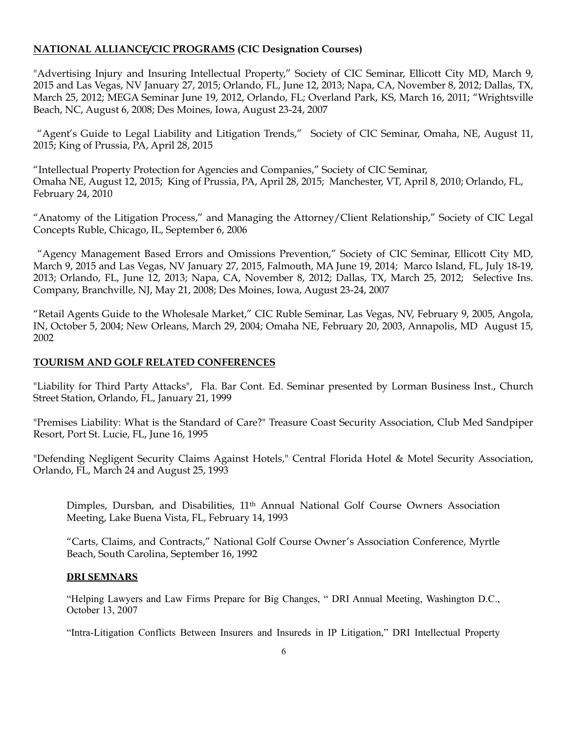## **NATIONAL ALLIANCE/CIC PROGRAMS (CIC Designation Courses)**

"Advertising Injury and Insuring Intellectual Property," Society of CIC Seminar, Ellicott City MD, March 9, 2015 and Las Vegas, NV January 27, 2015; Orlando, FL, June 12, 2013; Napa, CA, November 8, 2012; Dallas, TX, March 25, 2012; MEGA Seminar June 19, 2012, Orlando, FL; Overland Park, KS, March 16, 2011; "Wrightsville Beach, NC, August 6, 2008; Des Moines, Iowa, August 23-24, 2007

 "Agent's Guide to Legal Liability and Litigation Trends," Society of CIC Seminar, Omaha, NE, August 11, 2015; King of Prussia, PA, April 28, 2015

"Intellectual Property Protection for Agencies and Companies," Society of CIC Seminar, Omaha NE, August 12, 2015; King of Prussia, PA, April 28, 2015; Manchester, VT, April 8, 2010; Orlando, FL, February 24, 2010

"Anatomy of the Litigation Process," and Managing the Attorney/Client Relationship," Society of CIC Legal Concepts Ruble, Chicago, IL, September 6, 2006

 "Agency Management Based Errors and Omissions Prevention," Society of CIC Seminar, Ellicott City MD, March 9, 2015 and Las Vegas, NV January 27, 2015, Falmouth, MA June 19, 2014; Marco Island, FL, July 18-19, 2013; Orlando, FL, June 12, 2013; Napa, CA, November 8, 2012; Dallas, TX, March 25, 2012; Selective Ins. Company, Branchville, NJ, May 21, 2008; Des Moines, Iowa, August 23-24, 2007

"Retail Agents Guide to the Wholesale Market," CIC Ruble Seminar, Las Vegas, NV, February 9, 2005, Angola, IN, October 5, 2004; New Orleans, March 29, 2004; Omaha NE, February 20, 2003, Annapolis, MD August 15, 2002

### **TOURISM AND GOLF RELATED CONFERENCES**

"Liability for Third Party Attacks", Fla. Bar Cont. Ed. Seminar presented by Lorman Business Inst., Church Street Station, Orlando, FL, January 21, 1999

"Premises Liability: What is the Standard of Care?" Treasure Coast Security Association, Club Med Sandpiper Resort, Port St. Lucie, FL, June 16, 1995

"Defending Negligent Security Claims Against Hotels," Central Florida Hotel & Motel Security Association, Orlando, FL, March 24 and August 25, 1993

Dimples, Dursban, and Disabilities, 11<sup>th</sup> Annual National Golf Course Owners Association Meeting, Lake Buena Vista, FL, February 14, 1993

"Carts, Claims, and Contracts," National Golf Course Owner's Association Conference, Myrtle Beach, South Carolina, September 16, 1992

#### **DRI SEMNARS**

"Helping Lawyers and Law Firms Prepare for Big Changes, " DRI Annual Meeting, Washington D.C., October 13, 2007

"Intra-Litigation Conflicts Between Insurers and Insureds in IP Litigation," DRI Intellectual Property